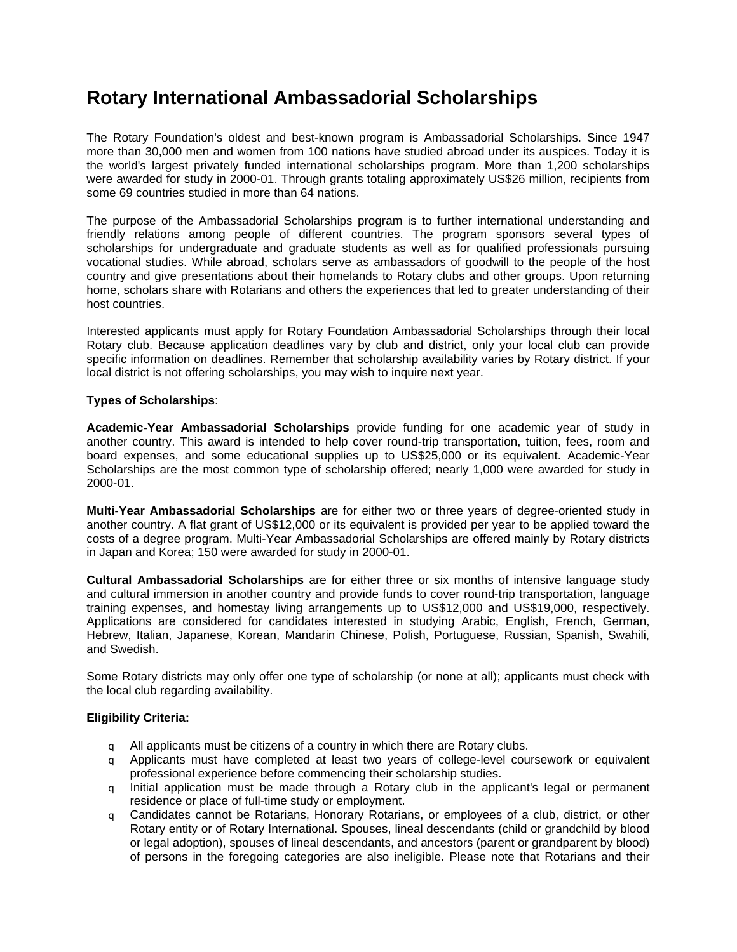# **Rotary International Ambassadorial Scholarships**

The Rotary Foundation's oldest and best-known program is Ambassadorial Scholarships. Since 1947 more than 30,000 men and women from 100 nations have studied abroad under its auspices. Today it is the world's largest privately funded international scholarships program. More than 1,200 scholarships were awarded for study in 2000-01. Through grants totaling approximately US\$26 million, recipients from some 69 countries studied in more than 64 nations.

The purpose of the Ambassadorial Scholarships program is to further international understanding and friendly relations among people of different countries. The program sponsors several types of scholarships for undergraduate and graduate students as well as for qualified professionals pursuing vocational studies. While abroad, scholars serve as ambassadors of goodwill to the people of the host country and give presentations about their homelands to Rotary clubs and other groups. Upon returning home, scholars share with Rotarians and others the experiences that led to greater understanding of their host countries.

Interested applicants must apply for Rotary Foundation Ambassadorial Scholarships through their local Rotary club. Because application deadlines vary by club and district, only your local club can provide specific information on deadlines. Remember that scholarship availability varies by Rotary district. If your local district is not offering scholarships, you may wish to inquire next year.

### **Types of Scholarships**:

**Academic-Year Ambassadorial Scholarships** provide funding for one academic year of study in another country. This award is intended to help cover round-trip transportation, tuition, fees, room and board expenses, and some educational supplies up to US\$25,000 or its equivalent. Academic-Year Scholarships are the most common type of scholarship offered; nearly 1,000 were awarded for study in 2000-01.

**Multi-Year Ambassadorial Scholarships** are for either two or three years of degree-oriented study in another country. A flat grant of US\$12,000 or its equivalent is provided per year to be applied toward the costs of a degree program. Multi-Year Ambassadorial Scholarships are offered mainly by Rotary districts in Japan and Korea; 150 were awarded for study in 2000-01.

**Cultural Ambassadorial Scholarships** are for either three or six months of intensive language study and cultural immersion in another country and provide funds to cover round-trip transportation, language training expenses, and homestay living arrangements up to US\$12,000 and US\$19,000, respectively. Applications are considered for candidates interested in studying Arabic, English, French, German, Hebrew, Italian, Japanese, Korean, Mandarin Chinese, Polish, Portuguese, Russian, Spanish, Swahili, and Swedish.

Some Rotary districts may only offer one type of scholarship (or none at all); applicants must check with the local club regarding availability.

### **Eligibility Criteria:**

- $q$  All applicants must be citizens of a country in which there are Rotary clubs.
- q Applicants must have completed at least two years of college-level coursework or equivalent professional experience before commencing their scholarship studies.
- q Initial application must be made through a Rotary club in the applicant's legal or permanent residence or place of full-time study or employment.
- q Candidates cannot be Rotarians, Honorary Rotarians, or employees of a club, district, or other Rotary entity or of Rotary International. Spouses, lineal descendants (child or grandchild by blood or legal adoption), spouses of lineal descendants, and ancestors (parent or grandparent by blood) of persons in the foregoing categories are also ineligible. Please note that Rotarians and their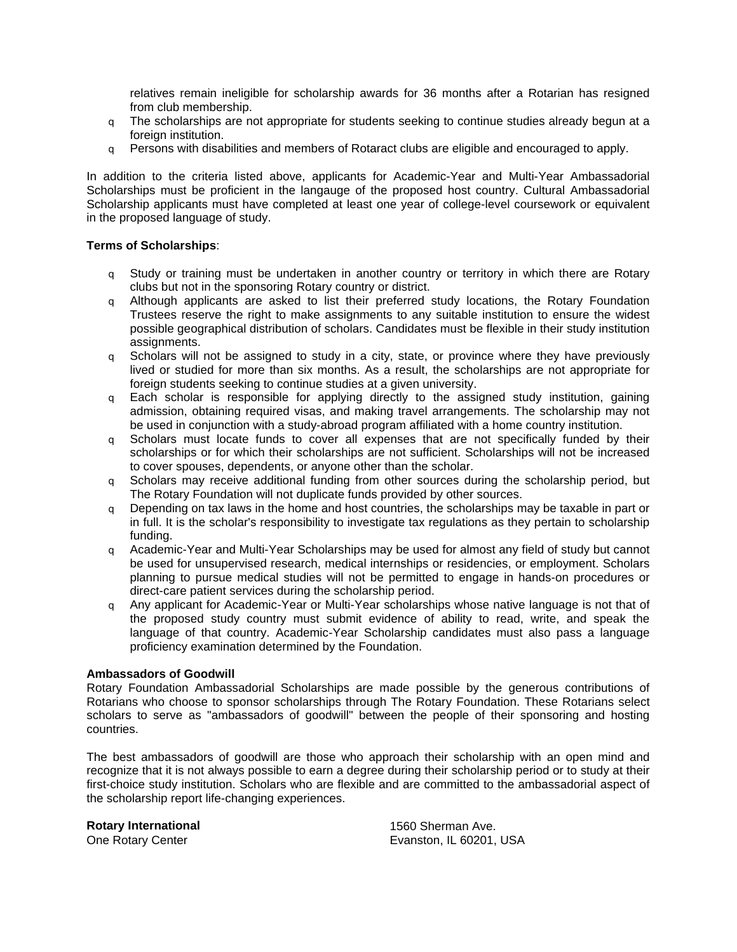relatives remain ineligible for scholarship awards for 36 months after a Rotarian has resigned from club membership.

- q The scholarships are not appropriate for students seeking to continue studies already begun at a foreign institution.
- q Persons with disabilities and members of Rotaract clubs are eligible and encouraged to apply.

In addition to the criteria listed above, applicants for Academic-Year and Multi-Year Ambassadorial Scholarships must be proficient in the langauge of the proposed host country. Cultural Ambassadorial Scholarship applicants must have completed at least one year of college-level coursework or equivalent in the proposed language of study.

## **Terms of Scholarships**:

- q Study or training must be undertaken in another country or territory in which there are Rotary clubs but not in the sponsoring Rotary country or district.
- q Although applicants are asked to list their preferred study locations, the Rotary Foundation Trustees reserve the right to make assignments to any suitable institution to ensure the widest possible geographical distribution of scholars. Candidates must be flexible in their study institution assignments.
- q Scholars will not be assigned to study in a city, state, or province where they have previously lived or studied for more than six months. As a result, the scholarships are not appropriate for foreign students seeking to continue studies at a given university.
- q Each scholar is responsible for applying directly to the assigned study institution, gaining admission, obtaining required visas, and making travel arrangements. The scholarship may not be used in conjunction with a study-abroad program affiliated with a home country institution.
- q Scholars must locate funds to cover all expenses that are not specifically funded by their scholarships or for which their scholarships are not sufficient. Scholarships will not be increased to cover spouses, dependents, or anyone other than the scholar.
- q Scholars may receive additional funding from other sources during the scholarship period, but The Rotary Foundation will not duplicate funds provided by other sources.
- $q$  Depending on tax laws in the home and host countries, the scholarships may be taxable in part or in full. It is the scholar's responsibility to investigate tax regulations as they pertain to scholarship funding.
- q Academic-Year and Multi-Year Scholarships may be used for almost any field of study but cannot be used for unsupervised research, medical internships or residencies, or employment. Scholars planning to pursue medical studies will not be permitted to engage in hands-on procedures or direct-care patient services during the scholarship period.
- q Any applicant for Academic-Year or Multi-Year scholarships whose native language is not that of the proposed study country must submit evidence of ability to read, write, and speak the language of that country. Academic-Year Scholarship candidates must also pass a language proficiency examination determined by the Foundation.

### **Ambassadors of Goodwill**

Rotary Foundation Ambassadorial Scholarships are made possible by the generous contributions of Rotarians who choose to sponsor scholarships through The Rotary Foundation. These Rotarians select scholars to serve as "ambassadors of goodwill" between the people of their sponsoring and hosting countries.

The best ambassadors of goodwill are those who approach their scholarship with an open mind and recognize that it is not always possible to earn a degree during their scholarship period or to study at their first-choice study institution. Scholars who are flexible and are committed to the ambassadorial aspect of the scholarship report life-changing experiences.

**Rotary International**

One Rotary Center

1560 Sherman Ave. Evanston, IL 60201, USA